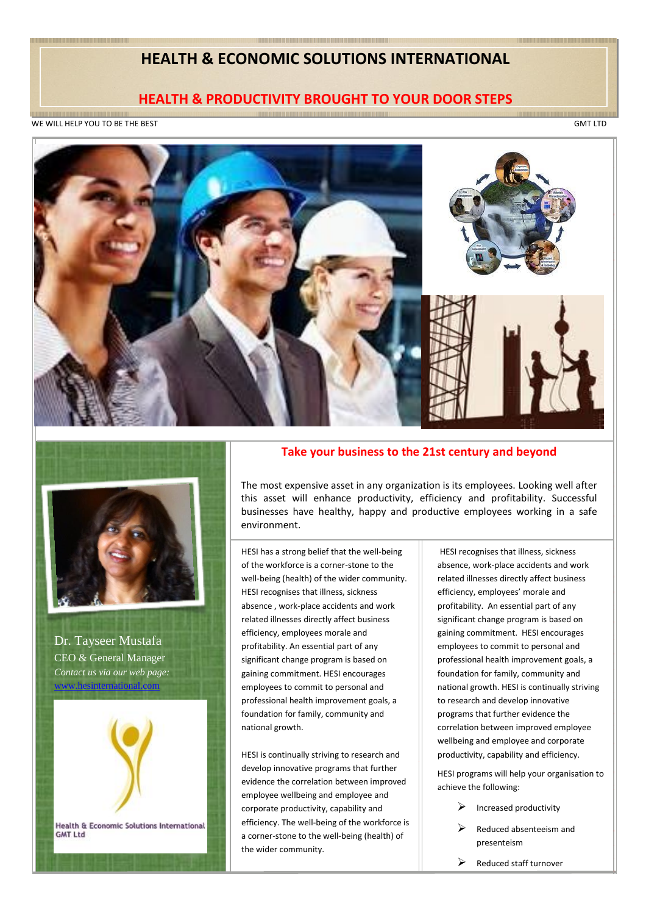## **HEALTH & ECONOMIC SOLUTIONS INTERNATIONAL**

## **HEALTH & PRODUCTIVITY BROUGHT TO YOUR DOOR STEPS**

WE WILL HELP YOU TO BE THE BEST GMT LTD

WE WILL HELP YOU TO BE THE BEST GMT LTD. HELP YOU TO BE THE BEST GMT LTD. HELP YOU TO BE THE BEST GMT LTD. HELP YOU TO BE THE BEST GMT LTD. HELP YOU TO BE THE BEST GMT LTD. HELP YOU TO BE THE BEST GMT LTD. HELP YOU TO BE T



*p*

h a

a

o n g

b e

e

h a

H E

Dr. Tayseer Mustafa **Contact us via our web page:** CEO & General Manager www.hesinternational.com

• P[re placements/ Recruitmen](http://www.hesinternational.com/)t medicals.



Health & Economic Solutions International **GMT Ltd** • Ill Health Retirement

## **Take your business to the 21st century and beyond**

**Falth needs of the organization** this asset will enhance productivity, efficiency and profitability. Successful **Figure 1980 Setting to the original to the original to the original to the original to the original to the original to the original to the original to the original to the original to the original to the original to the or** The most expensive asset in any organization is its employees. Looking well after environment.

T

 $\parallel$ k

 $\parallel$ 

y o

u

r

 $\mathbb{I}$ 

u

s i

n

e

well-being (health) of the wider community. HESI recognises that illness, sickness related illnesses directly affect business efficiency, employees morale and profitability. An essential part of any significant change program is based on gaining commitment. HESI encourages employees to commit to personal and professional health improvement goals, a foundation for family, community and national growth.

evidence the correlation between improved HESI is continually striving to research and develop innovative programs that further employee wellbeing and employee and corporate productivity, capability and efficiency. The well-being of the workforce is a corner-stone to the well-being (health) of the wider community.

HESI recognises that illness, sickness absence, work-place accidents and work related illnesses directly affect business efficiency, employees' morale and profitability. An essential part of any significant change program is based on gaining commitment. HESI encourages employees to commit to personal and professional health improvement goals, a foundation for family, community and national growth. HESI is continually striving to research and develop innovative programs that further evidence the correlation between improved employee wellbeing and employee and corporate productivity, capability and efficiency.

D

T a i. s e e

M u s

a

a l. E l.

&

l. e n e

a

M a n l.  $\parallel$ e

*C o n t a*

HESI programs will help your organisation to achieve the following:

- $\triangleright$  Increased productivity
- Reduced absenteeism and presenteism
- $\triangleright$  Reduced staff turnover

 $\Box$